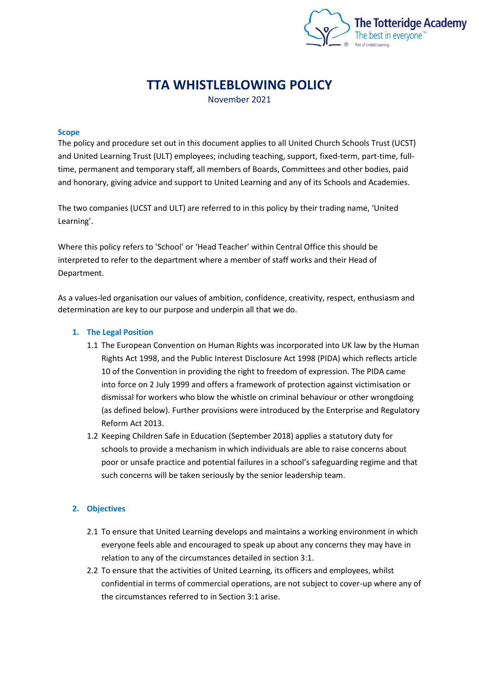

# **TTA WHISTLEBLOWING POLICY**

November 2021

#### **Scope**

The policy and procedure set out in this document applies to all United Church Schools Trust (UCST) and United Learning Trust (ULT) employees; including teaching, support, fixed-term, part-time, fulltime, permanent and temporary staff, all members of Boards, Committees and other bodies, paid and honorary, giving advice and support to United Learning and any of its Schools and Academies.

The two companies (UCST and ULT) are referred to in this policy by their trading name, 'United Learning'.

Where this policy refers to 'School' or 'Head Teacher' within Central Office this should be interpreted to refer to the department where a member of staff works and their Head of Department.

As a values-led organisation our values of ambition, confidence, creativity, respect, enthusiasm and determination are key to our purpose and underpin all that we do.

#### **1. The Legal Position**

- 1.1 The European Convention on Human Rights was incorporated into UK law by the Human Rights Act 1998, and the Public Interest Disclosure Act 1998 (PIDA) which reflects article 10 of the Convention in providing the right to freedom of expression. The PIDA came into force on 2 July 1999 and offers a framework of protection against victimisation or dismissal for workers who blow the whistle on criminal behaviour or other wrongdoing (as defined below). Further provisions were introduced by the Enterprise and Regulatory Reform Act 2013.
- 1.2 Keeping Children Safe in Education (September 2018) applies a statutory duty for schools to provide a mechanism in which individuals are able to raise concerns about poor or unsafe practice and potential failures in a school's safeguarding regime and that such concerns will be taken seriously by the senior leadership team.

## **2. Objectives**

- 2.1 To ensure that United Learning develops and maintains a working environment in which everyone feels able and encouraged to speak up about any concerns they may have in relation to any of the circumstances detailed in section 3:1.
- 2.2 To ensure that the activities of United Learning, its officers and employees, whilst confidential in terms of commercial operations, are not subject to cover-up where any of the circumstances referred to in Section 3:1 arise.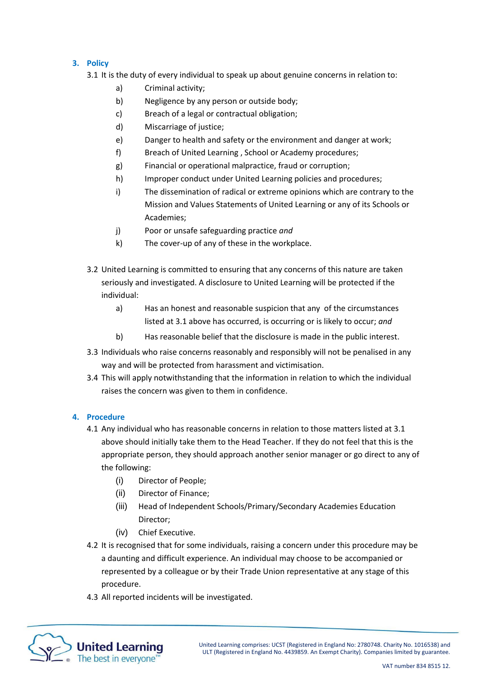## **3. Policy**

3.1 It is the duty of every individual to speak up about genuine concerns in relation to:

- a) Criminal activity;
- b) Negligence by any person or outside body;
- c) Breach of a legal or contractual obligation;
- d) Miscarriage of justice;
- e) Danger to health and safety or the environment and danger at work;
- f) Breach of United Learning , School or Academy procedures;
- g) Financial or operational malpractice, fraud or corruption;
- h) Improper conduct under United Learning policies and procedures;
- i) The dissemination of radical or extreme opinions which are contrary to the Mission and Values Statements of United Learning or any of its Schools or Academies;
- j) Poor or unsafe safeguarding practice *and*
- k) The cover-up of any of these in the workplace.
- 3.2 United Learning is committed to ensuring that any concerns of this nature are taken seriously and investigated. A disclosure to United Learning will be protected if the individual:
	- a) Has an honest and reasonable suspicion that any of the circumstances listed at 3.1 above has occurred, is occurring or is likely to occur; *and*
	- b) Has reasonable belief that the disclosure is made in the public interest.
- 3.3 Individuals who raise concerns reasonably and responsibly will not be penalised in any way and will be protected from harassment and victimisation.
- 3.4 This will apply notwithstanding that the information in relation to which the individual raises the concern was given to them in confidence.

## **4. Procedure**

- 4.1 Any individual who has reasonable concerns in relation to those matters listed at 3.1 above should initially take them to the Head Teacher. If they do not feel that this is the appropriate person, they should approach another senior manager or go direct to any of the following:
	- (i) Director of People;
	- (ii) Director of Finance;
	- (iii) Head of Independent Schools/Primary/Secondary Academies Education Director;
	- (iv) Chief Executive.
- 4.2 It is recognised that for some individuals, raising a concern under this procedure may be a daunting and difficult experience. An individual may choose to be accompanied or represented by a colleague or by their Trade Union representative at any stage of this procedure.
- 4.3 All reported incidents will be investigated.

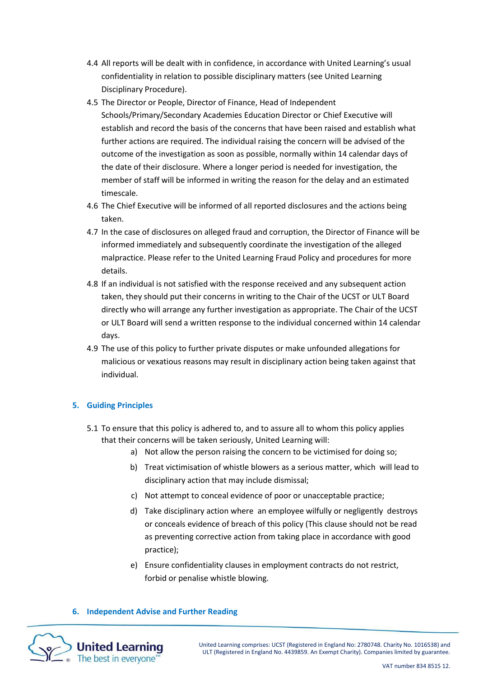- 4.4 All reports will be dealt with in confidence, in accordance with United Learning's usual confidentiality in relation to possible disciplinary matters (see United Learning Disciplinary Procedure).
- 4.5 The Director or People, Director of Finance, Head of Independent Schools/Primary/Secondary Academies Education Director or Chief Executive will establish and record the basis of the concerns that have been raised and establish what further actions are required. The individual raising the concern will be advised of the outcome of the investigation as soon as possible, normally within 14 calendar days of the date of their disclosure. Where a longer period is needed for investigation, the member of staff will be informed in writing the reason for the delay and an estimated timescale.
- 4.6 The Chief Executive will be informed of all reported disclosures and the actions being taken.
- 4.7 In the case of disclosures on alleged fraud and corruption, the Director of Finance will be informed immediately and subsequently coordinate the investigation of the alleged malpractice. Please refer to the United Learning Fraud Policy and procedures for more details.
- 4.8 If an individual is not satisfied with the response received and any subsequent action taken, they should put their concerns in writing to the Chair of the UCST or ULT Board directly who will arrange any further investigation as appropriate. The Chair of the UCST or ULT Board will send a written response to the individual concerned within 14 calendar days.
- 4.9 The use of this policy to further private disputes or make unfounded allegations for malicious or vexatious reasons may result in disciplinary action being taken against that individual.

## **5. Guiding Principles**

- 5.1 To ensure that this policy is adhered to, and to assure all to whom this policy applies that their concerns will be taken seriously, United Learning will:
	- a) Not allow the person raising the concern to be victimised for doing so;
	- b) Treat victimisation of whistle blowers as a serious matter, which will lead to disciplinary action that may include dismissal;
	- c) Not attempt to conceal evidence of poor or unacceptable practice;
	- d) Take disciplinary action where an employee wilfully or negligently destroys or conceals evidence of breach of this policy (This clause should not be read as preventing corrective action from taking place in accordance with good practice);
	- e) Ensure confidentiality clauses in employment contracts do not restrict, forbid or penalise whistle blowing.

#### **6. Independent Advise and Further Reading**



United Learning comprises: UCST (Registered in England No: 2780748. Charity No. 1016538) and ULT (Registered in England No. 4439859. An Exempt Charity). Companies limited by guarantee.